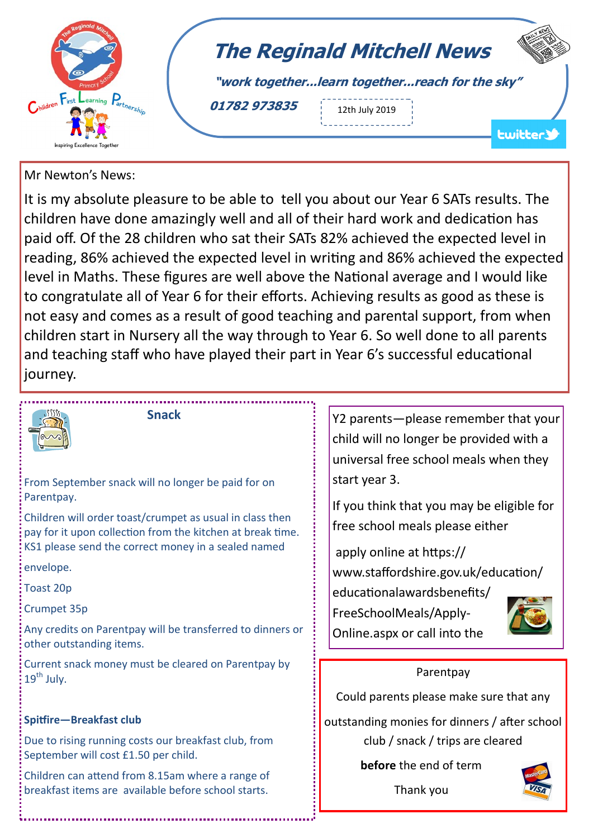

## Mr Newton's News:

It is my absolute pleasure to be able to tell you about our Year 6 SATs results. The children have done amazingly well and all of their hard work and dedication has paid off. Of the 28 children who sat their SATs 82% achieved the expected level in reading, 86% achieved the expected level in writing and 86% achieved the expected level in Maths. These figures are well above the National average and I would like to congratulate all of Year 6 for their efforts. Achieving results as good as these is not easy and comes as a result of good teaching and parental support, from when children start in Nursery all the way through to Year 6. So well done to all parents and teaching staff who have played their part in Year 6's successful educational journey.



 **Snack**

From September snack will no longer be paid for on Parentpay.

Children will order toast/crumpet as usual in class then pay for it upon collection from the kitchen at break time. KS1 please send the correct money in a sealed named

envelope.

Toast 20p

Crumpet 35p

Any credits on Parentpay will be transferred to dinners or other outstanding items.

Current snack money must be cleared on Parentpay by  $19<sup>th</sup>$  July.

## **Spitfire—Breakfast club**

Due to rising running costs our breakfast club, from September will cost £1.50 per child.

Children can attend from 8.15am where a range of breakfast items are available before school starts.

Y2 parents—please remember that your child will no longer be provided with a universal free school meals when they start year 3.

If you think that you may be eligible for free school meals please either

apply online at https://

www.staffordshire.gov.uk/education/

educationalawardsbenefits/

Online.aspx or call into the

FreeSchoolMeals/Apply-



**Parentpay** 

Could parents please make sure that any

outstanding monies for dinners / after school club / snack / trips are cleared

**before** the end of term



Thank you